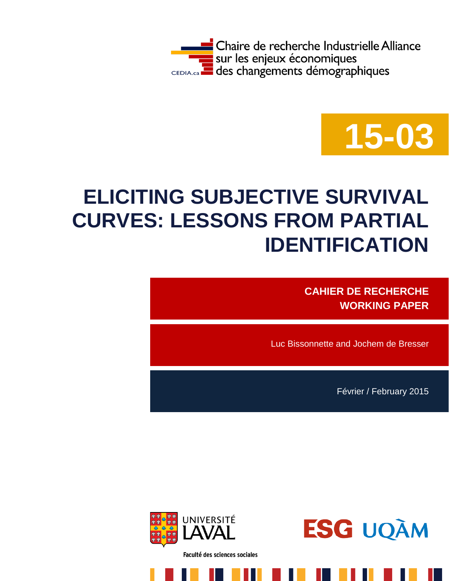



# **ELICITING SUBJECTIVE SURVIVAL CURVES: LESSONS FROM PARTIAL IDENTIFICATION**

**CAHIER DE RECHERCHE WORKING PAPER**

Luc Bissonnette and Jochem de Bresser

Février / February 2015



Faculté des sciences sociales

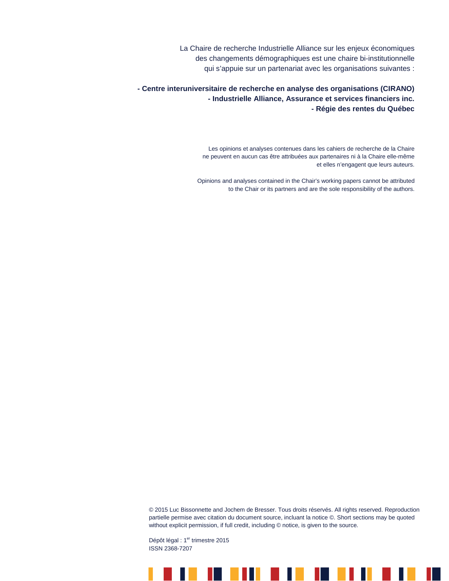La Chaire de recherche Industrielle Alliance sur les enjeux économiques des changements démographiques est une chaire bi-institutionnelle qui s'appuie sur un partenariat avec les organisations suivantes :

**- Centre interuniversitaire de recherche en analyse des organisations (CIRANO) - Industrielle Alliance, Assurance et services financiers inc. - Régie des rentes du Québec**

> Les opinions et analyses contenues dans les cahiers de recherche de la Chaire ne peuvent en aucun cas être attribuées aux partenaires ni à la Chaire elle-même et elles n'engagent que leurs auteurs.

Opinions and analyses contained in the Chair's working papers cannot be attributed to the Chair or its partners and are the sole responsibility of the authors.

© 2015 Luc Bissonnette and Jochem de Bresser. Tous droits réservés. All rights reserved. Reproduction partielle permise avec citation du document source, incluant la notice ©. Short sections may be quoted without explicit permission, if full credit, including  $©$  notice, is given to the source.

Dépôt légal : 1<sup>er</sup> trimestre 2015 ISSN 2368-7207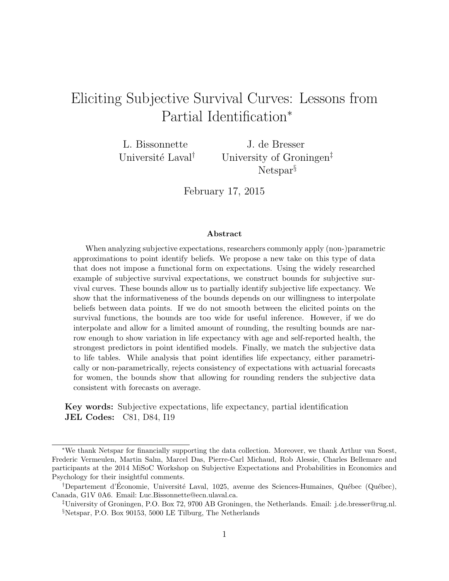## Eliciting Subjective Survival Curves: Lessons from Partial Identification<sup>∗</sup>

L. Bissonnette Université Laval<sup>†</sup>

J. de Bresser University of Groningen‡ Netspar<sup>§</sup>

February 17, 2015

#### Abstract

When analyzing subjective expectations, researchers commonly apply (non-)parametric approximations to point identify beliefs. We propose a new take on this type of data that does not impose a functional form on expectations. Using the widely researched example of subjective survival expectations, we construct bounds for subjective survival curves. These bounds allow us to partially identify subjective life expectancy. We show that the informativeness of the bounds depends on our willingness to interpolate beliefs between data points. If we do not smooth between the elicited points on the survival functions, the bounds are too wide for useful inference. However, if we do interpolate and allow for a limited amount of rounding, the resulting bounds are narrow enough to show variation in life expectancy with age and self-reported health, the strongest predictors in point identified models. Finally, we match the subjective data to life tables. While analysis that point identifies life expectancy, either parametrically or non-parametrically, rejects consistency of expectations with actuarial forecasts for women, the bounds show that allowing for rounding renders the subjective data consistent with forecasts on average.

Key words: Subjective expectations, life expectancy, partial identification JEL Codes: C81, D84, I19

<sup>∗</sup>We thank Netspar for financially supporting the data collection. Moreover, we thank Arthur van Soest, Frederic Vermeulen, Martin Salm, Marcel Das, Pierre-Carl Michaud, Rob Alessie, Charles Bellemare and participants at the 2014 MiSoC Workshop on Subjective Expectations and Probabilities in Economics and Psychology for their insightful comments.

<sup>&</sup>lt;sup>†</sup>Departement d'Économie, Université Laval, 1025, avenue des Sciences-Humaines, Québec (Québec), Canada, G1V 0A6. Email: Luc.Bissonnette@ecn.ulaval.ca.

<sup>‡</sup>University of Groningen, P.O. Box 72, 9700 AB Groningen, the Netherlands. Email: j.de.bresser@rug.nl. §Netspar, P.O. Box 90153, 5000 LE Tilburg, The Netherlands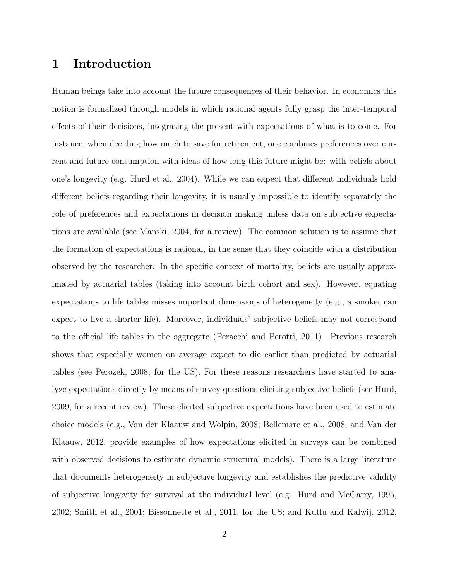## 1 Introduction

Human beings take into account the future consequences of their behavior. In economics this notion is formalized through models in which rational agents fully grasp the inter-temporal effects of their decisions, integrating the present with expectations of what is to come. For instance, when deciding how much to save for retirement, one combines preferences over current and future consumption with ideas of how long this future might be: with beliefs about one's longevity (e.g. Hurd et al., 2004). While we can expect that different individuals hold different beliefs regarding their longevity, it is usually impossible to identify separately the role of preferences and expectations in decision making unless data on subjective expectations are available (see Manski, 2004, for a review). The common solution is to assume that the formation of expectations is rational, in the sense that they coincide with a distribution observed by the researcher. In the specific context of mortality, beliefs are usually approximated by actuarial tables (taking into account birth cohort and sex). However, equating expectations to life tables misses important dimensions of heterogeneity (e.g., a smoker can expect to live a shorter life). Moreover, individuals' subjective beliefs may not correspond to the official life tables in the aggregate (Peracchi and Perotti, 2011). Previous research shows that especially women on average expect to die earlier than predicted by actuarial tables (see Perozek, 2008, for the US). For these reasons researchers have started to analyze expectations directly by means of survey questions eliciting subjective beliefs (see Hurd, 2009, for a recent review). These elicited subjective expectations have been used to estimate choice models (e.g., Van der Klaauw and Wolpin, 2008; Bellemare et al., 2008; and Van der Klaauw, 2012, provide examples of how expectations elicited in surveys can be combined with observed decisions to estimate dynamic structural models). There is a large literature that documents heterogeneity in subjective longevity and establishes the predictive validity of subjective longevity for survival at the individual level (e.g. Hurd and McGarry, 1995, 2002; Smith et al., 2001; Bissonnette et al., 2011, for the US; and Kutlu and Kalwij, 2012,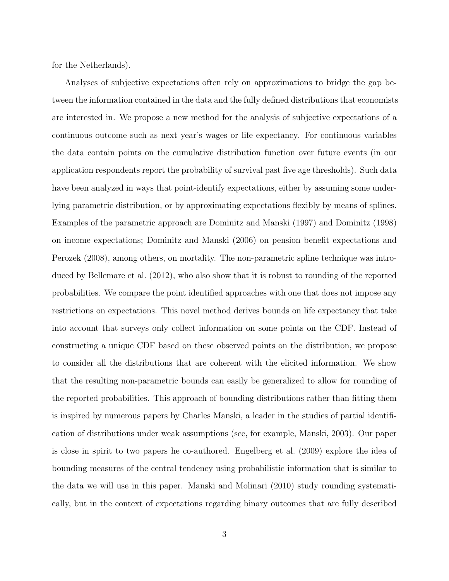for the Netherlands).

Analyses of subjective expectations often rely on approximations to bridge the gap between the information contained in the data and the fully defined distributions that economists are interested in. We propose a new method for the analysis of subjective expectations of a continuous outcome such as next year's wages or life expectancy. For continuous variables the data contain points on the cumulative distribution function over future events (in our application respondents report the probability of survival past five age thresholds). Such data have been analyzed in ways that point-identify expectations, either by assuming some underlying parametric distribution, or by approximating expectations flexibly by means of splines. Examples of the parametric approach are Dominitz and Manski (1997) and Dominitz (1998) on income expectations; Dominitz and Manski (2006) on pension benefit expectations and Perozek (2008), among others, on mortality. The non-parametric spline technique was introduced by Bellemare et al. (2012), who also show that it is robust to rounding of the reported probabilities. We compare the point identified approaches with one that does not impose any restrictions on expectations. This novel method derives bounds on life expectancy that take into account that surveys only collect information on some points on the CDF. Instead of constructing a unique CDF based on these observed points on the distribution, we propose to consider all the distributions that are coherent with the elicited information. We show that the resulting non-parametric bounds can easily be generalized to allow for rounding of the reported probabilities. This approach of bounding distributions rather than fitting them is inspired by numerous papers by Charles Manski, a leader in the studies of partial identification of distributions under weak assumptions (see, for example, Manski, 2003). Our paper is close in spirit to two papers he co-authored. Engelberg et al. (2009) explore the idea of bounding measures of the central tendency using probabilistic information that is similar to the data we will use in this paper. Manski and Molinari (2010) study rounding systematically, but in the context of expectations regarding binary outcomes that are fully described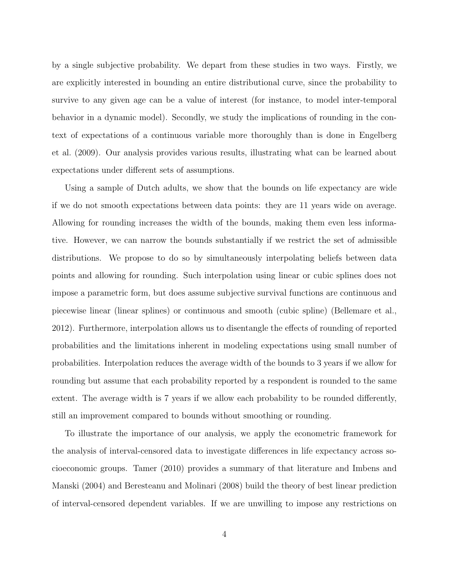by a single subjective probability. We depart from these studies in two ways. Firstly, we are explicitly interested in bounding an entire distributional curve, since the probability to survive to any given age can be a value of interest (for instance, to model inter-temporal behavior in a dynamic model). Secondly, we study the implications of rounding in the context of expectations of a continuous variable more thoroughly than is done in Engelberg et al. (2009). Our analysis provides various results, illustrating what can be learned about expectations under different sets of assumptions.

Using a sample of Dutch adults, we show that the bounds on life expectancy are wide if we do not smooth expectations between data points: they are 11 years wide on average. Allowing for rounding increases the width of the bounds, making them even less informative. However, we can narrow the bounds substantially if we restrict the set of admissible distributions. We propose to do so by simultaneously interpolating beliefs between data points and allowing for rounding. Such interpolation using linear or cubic splines does not impose a parametric form, but does assume subjective survival functions are continuous and piecewise linear (linear splines) or continuous and smooth (cubic spline) (Bellemare et al., 2012). Furthermore, interpolation allows us to disentangle the effects of rounding of reported probabilities and the limitations inherent in modeling expectations using small number of probabilities. Interpolation reduces the average width of the bounds to 3 years if we allow for rounding but assume that each probability reported by a respondent is rounded to the same extent. The average width is 7 years if we allow each probability to be rounded differently, still an improvement compared to bounds without smoothing or rounding.

To illustrate the importance of our analysis, we apply the econometric framework for the analysis of interval-censored data to investigate differences in life expectancy across socioeconomic groups. Tamer (2010) provides a summary of that literature and Imbens and Manski (2004) and Beresteanu and Molinari (2008) build the theory of best linear prediction of interval-censored dependent variables. If we are unwilling to impose any restrictions on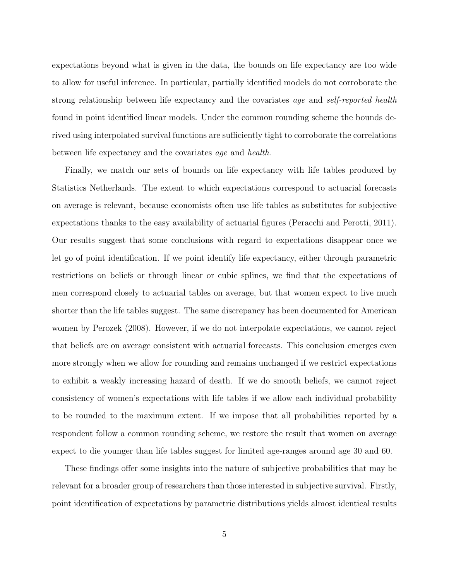expectations beyond what is given in the data, the bounds on life expectancy are too wide to allow for useful inference. In particular, partially identified models do not corroborate the strong relationship between life expectancy and the covariates age and self-reported health found in point identified linear models. Under the common rounding scheme the bounds derived using interpolated survival functions are sufficiently tight to corroborate the correlations between life expectancy and the covariates age and health.

Finally, we match our sets of bounds on life expectancy with life tables produced by Statistics Netherlands. The extent to which expectations correspond to actuarial forecasts on average is relevant, because economists often use life tables as substitutes for subjective expectations thanks to the easy availability of actuarial figures (Peracchi and Perotti, 2011). Our results suggest that some conclusions with regard to expectations disappear once we let go of point identification. If we point identify life expectancy, either through parametric restrictions on beliefs or through linear or cubic splines, we find that the expectations of men correspond closely to actuarial tables on average, but that women expect to live much shorter than the life tables suggest. The same discrepancy has been documented for American women by Perozek (2008). However, if we do not interpolate expectations, we cannot reject that beliefs are on average consistent with actuarial forecasts. This conclusion emerges even more strongly when we allow for rounding and remains unchanged if we restrict expectations to exhibit a weakly increasing hazard of death. If we do smooth beliefs, we cannot reject consistency of women's expectations with life tables if we allow each individual probability to be rounded to the maximum extent. If we impose that all probabilities reported by a respondent follow a common rounding scheme, we restore the result that women on average expect to die younger than life tables suggest for limited age-ranges around age 30 and 60.

These findings offer some insights into the nature of subjective probabilities that may be relevant for a broader group of researchers than those interested in subjective survival. Firstly, point identification of expectations by parametric distributions yields almost identical results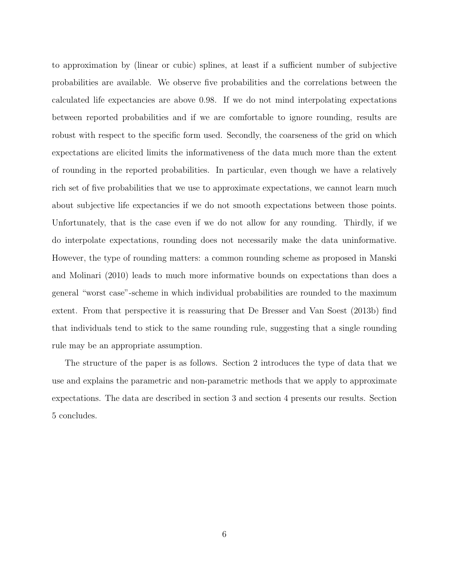to approximation by (linear or cubic) splines, at least if a sufficient number of subjective probabilities are available. We observe five probabilities and the correlations between the calculated life expectancies are above 0.98. If we do not mind interpolating expectations between reported probabilities and if we are comfortable to ignore rounding, results are robust with respect to the specific form used. Secondly, the coarseness of the grid on which expectations are elicited limits the informativeness of the data much more than the extent of rounding in the reported probabilities. In particular, even though we have a relatively rich set of five probabilities that we use to approximate expectations, we cannot learn much about subjective life expectancies if we do not smooth expectations between those points. Unfortunately, that is the case even if we do not allow for any rounding. Thirdly, if we do interpolate expectations, rounding does not necessarily make the data uninformative. However, the type of rounding matters: a common rounding scheme as proposed in Manski and Molinari (2010) leads to much more informative bounds on expectations than does a general "worst case"-scheme in which individual probabilities are rounded to the maximum extent. From that perspective it is reassuring that De Bresser and Van Soest (2013b) find that individuals tend to stick to the same rounding rule, suggesting that a single rounding rule may be an appropriate assumption.

The structure of the paper is as follows. Section 2 introduces the type of data that we use and explains the parametric and non-parametric methods that we apply to approximate expectations. The data are described in section 3 and section 4 presents our results. Section 5 concludes.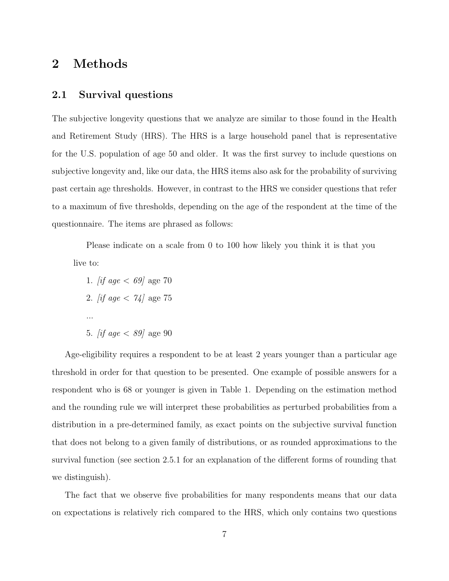## 2 Methods

#### 2.1 Survival questions

The subjective longevity questions that we analyze are similar to those found in the Health and Retirement Study (HRS). The HRS is a large household panel that is representative for the U.S. population of age 50 and older. It was the first survey to include questions on subjective longevity and, like our data, the HRS items also ask for the probability of surviving past certain age thresholds. However, in contrast to the HRS we consider questions that refer to a maximum of five thresholds, depending on the age of the respondent at the time of the questionnaire. The items are phrased as follows:

Please indicate on a scale from 0 to 100 how likely you think it is that you live to:

1. *if age < 69* age 70 2. *if age < 74* age 75 ... 5. *[if age*  $\langle 89 \rangle$  *age 90* 

Age-eligibility requires a respondent to be at least 2 years younger than a particular age threshold in order for that question to be presented. One example of possible answers for a respondent who is 68 or younger is given in Table 1. Depending on the estimation method and the rounding rule we will interpret these probabilities as perturbed probabilities from a distribution in a pre-determined family, as exact points on the subjective survival function that does not belong to a given family of distributions, or as rounded approximations to the survival function (see section 2.5.1 for an explanation of the different forms of rounding that we distinguish).

The fact that we observe five probabilities for many respondents means that our data on expectations is relatively rich compared to the HRS, which only contains two questions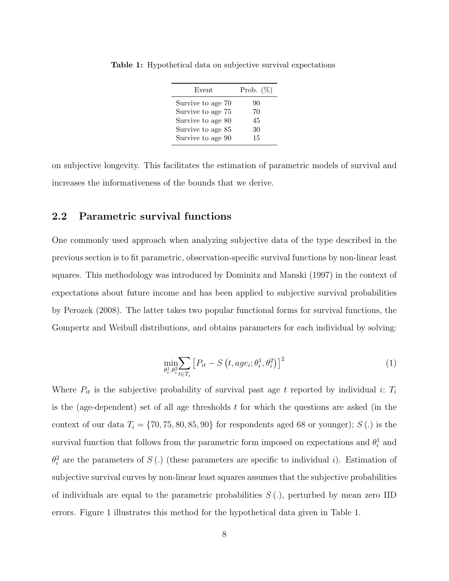| Event             | Prob. $(\%)$ |
|-------------------|--------------|
| Survive to age 70 | 90           |
| Survive to age 75 | 70           |
| Survive to age 80 | 45           |
| Survive to age 85 | 30           |
| Survive to age 90 | 15           |

Table 1: Hypothetical data on subjective survival expectations

on subjective longevity. This facilitates the estimation of parametric models of survival and increases the informativeness of the bounds that we derive.

#### 2.2 Parametric survival functions

One commonly used approach when analyzing subjective data of the type described in the previous section is to fit parametric, observation-specific survival functions by non-linear least squares. This methodology was introduced by Dominitz and Manski (1997) in the context of expectations about future income and has been applied to subjective survival probabilities by Perozek (2008). The latter takes two popular functional forms for survival functions, the Gompertz and Weibull distributions, and obtains parameters for each individual by solving:

$$
\min_{\theta_i^1, \theta_i^2} \sum_{t \in T_i} \left[ P_{it} - S\left(t, age_i; \theta_i^1, \theta_i^2\right) \right]^2 \tag{1}
$$

Where  $P_{it}$  is the subjective probability of survival past age t reported by individual i;  $T_i$ is the (age-dependent) set of all age thresholds  $t$  for which the questions are asked (in the context of our data  $T_i = \{70, 75, 80, 85, 90\}$  for respondents aged 68 or younger); S(.) is the survival function that follows from the parametric form imposed on expectations and  $\theta_i^1$  and  $\theta_i^2$  are the parameters of S(.) (these parameters are specific to individual i). Estimation of subjective survival curves by non-linear least squares assumes that the subjective probabilities of individuals are equal to the parametric probabilities  $S(.)$ , perturbed by mean zero IID errors. Figure 1 illustrates this method for the hypothetical data given in Table 1.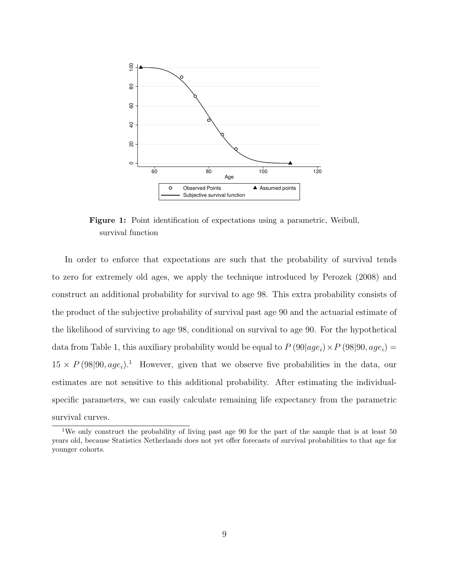

Figure 1: Point identification of expectations using a parametric, Weibull, survival function

In order to enforce that expectations are such that the probability of survival tends to zero for extremely old ages, we apply the technique introduced by Perozek (2008) and construct an additional probability for survival to age 98. This extra probability consists of the product of the subjective probability of survival past age 90 and the actuarial estimate of the likelihood of surviving to age 98, conditional on survival to age 90. For the hypothetical data from Table 1, this auxiliary probability would be equal to  $P(90|age_i) \times P(98|90, age_i) =$  $15 \times P(98|90, age_i).$ <sup>1</sup> However, given that we observe five probabilities in the data, our estimates are not sensitive to this additional probability. After estimating the individualspecific parameters, we can easily calculate remaining life expectancy from the parametric survival curves.

<sup>1</sup>We only construct the probability of living past age 90 for the part of the sample that is at least 50 years old, because Statistics Netherlands does not yet offer forecasts of survival probabilities to that age for younger cohorts.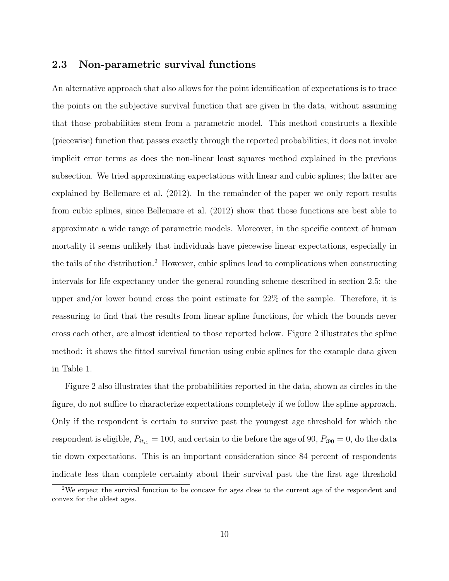#### 2.3 Non-parametric survival functions

An alternative approach that also allows for the point identification of expectations is to trace the points on the subjective survival function that are given in the data, without assuming that those probabilities stem from a parametric model. This method constructs a flexible (piecewise) function that passes exactly through the reported probabilities; it does not invoke implicit error terms as does the non-linear least squares method explained in the previous subsection. We tried approximating expectations with linear and cubic splines; the latter are explained by Bellemare et al. (2012). In the remainder of the paper we only report results from cubic splines, since Bellemare et al. (2012) show that those functions are best able to approximate a wide range of parametric models. Moreover, in the specific context of human mortality it seems unlikely that individuals have piecewise linear expectations, especially in the tails of the distribution.<sup>2</sup> However, cubic splines lead to complications when constructing intervals for life expectancy under the general rounding scheme described in section 2.5: the upper and/or lower bound cross the point estimate for 22% of the sample. Therefore, it is reassuring to find that the results from linear spline functions, for which the bounds never cross each other, are almost identical to those reported below. Figure 2 illustrates the spline method: it shows the fitted survival function using cubic splines for the example data given in Table 1.

Figure 2 also illustrates that the probabilities reported in the data, shown as circles in the figure, do not suffice to characterize expectations completely if we follow the spline approach. Only if the respondent is certain to survive past the youngest age threshold for which the respondent is eligible,  $P_{iti1} = 100$ , and certain to die before the age of 90,  $P_{i90} = 0$ , do the data tie down expectations. This is an important consideration since 84 percent of respondents indicate less than complete certainty about their survival past the the first age threshold

<sup>2</sup>We expect the survival function to be concave for ages close to the current age of the respondent and convex for the oldest ages.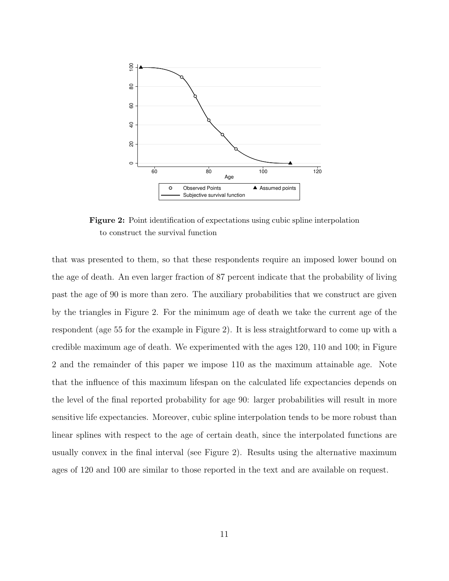

Figure 2: Point identification of expectations using cubic spline interpolation to construct the survival function

that was presented to them, so that these respondents require an imposed lower bound on the age of death. An even larger fraction of 87 percent indicate that the probability of living past the age of 90 is more than zero. The auxiliary probabilities that we construct are given by the triangles in Figure 2. For the minimum age of death we take the current age of the respondent (age 55 for the example in Figure 2). It is less straightforward to come up with a credible maximum age of death. We experimented with the ages 120, 110 and 100; in Figure 2 and the remainder of this paper we impose 110 as the maximum attainable age. Note that the influence of this maximum lifespan on the calculated life expectancies depends on the level of the final reported probability for age 90: larger probabilities will result in more sensitive life expectancies. Moreover, cubic spline interpolation tends to be more robust than linear splines with respect to the age of certain death, since the interpolated functions are usually convex in the final interval (see Figure 2). Results using the alternative maximum ages of 120 and 100 are similar to those reported in the text and are available on request.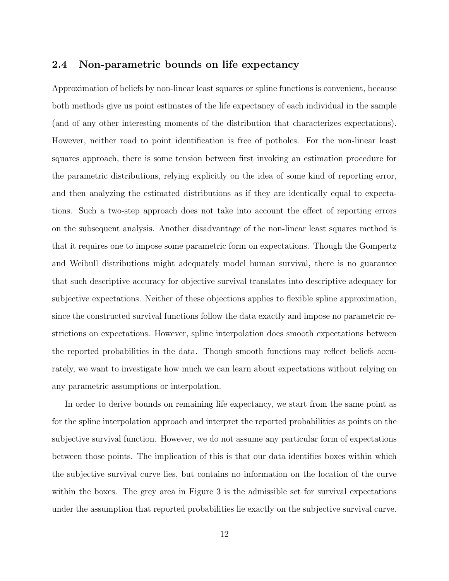#### 2.4 Non-parametric bounds on life expectancy

Approximation of beliefs by non-linear least squares or spline functions is convenient, because both methods give us point estimates of the life expectancy of each individual in the sample (and of any other interesting moments of the distribution that characterizes expectations). However, neither road to point identification is free of potholes. For the non-linear least squares approach, there is some tension between first invoking an estimation procedure for the parametric distributions, relying explicitly on the idea of some kind of reporting error, and then analyzing the estimated distributions as if they are identically equal to expectations. Such a two-step approach does not take into account the effect of reporting errors on the subsequent analysis. Another disadvantage of the non-linear least squares method is that it requires one to impose some parametric form on expectations. Though the Gompertz and Weibull distributions might adequately model human survival, there is no guarantee that such descriptive accuracy for objective survival translates into descriptive adequacy for subjective expectations. Neither of these objections applies to flexible spline approximation, since the constructed survival functions follow the data exactly and impose no parametric restrictions on expectations. However, spline interpolation does smooth expectations between the reported probabilities in the data. Though smooth functions may reflect beliefs accurately, we want to investigate how much we can learn about expectations without relying on any parametric assumptions or interpolation.

In order to derive bounds on remaining life expectancy, we start from the same point as for the spline interpolation approach and interpret the reported probabilities as points on the subjective survival function. However, we do not assume any particular form of expectations between those points. The implication of this is that our data identifies boxes within which the subjective survival curve lies, but contains no information on the location of the curve within the boxes. The grey area in Figure 3 is the admissible set for survival expectations under the assumption that reported probabilities lie exactly on the subjective survival curve.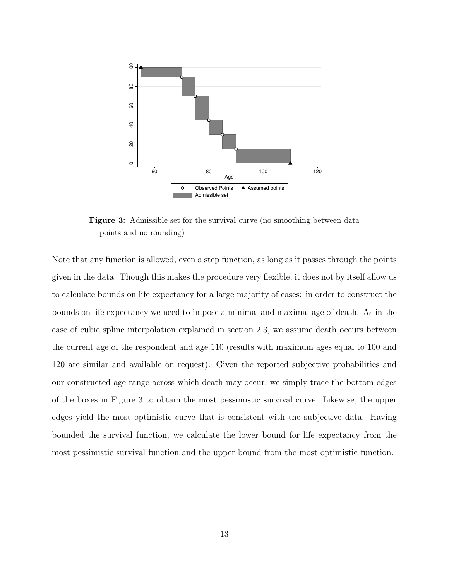

Figure 3: Admissible set for the survival curve (no smoothing between data points and no rounding)

Note that any function is allowed, even a step function, as long as it passes through the points given in the data. Though this makes the procedure very flexible, it does not by itself allow us to calculate bounds on life expectancy for a large majority of cases: in order to construct the bounds on life expectancy we need to impose a minimal and maximal age of death. As in the case of cubic spline interpolation explained in section 2.3, we assume death occurs between the current age of the respondent and age 110 (results with maximum ages equal to 100 and 120 are similar and available on request). Given the reported subjective probabilities and our constructed age-range across which death may occur, we simply trace the bottom edges of the boxes in Figure 3 to obtain the most pessimistic survival curve. Likewise, the upper edges yield the most optimistic curve that is consistent with the subjective data. Having bounded the survival function, we calculate the lower bound for life expectancy from the most pessimistic survival function and the upper bound from the most optimistic function.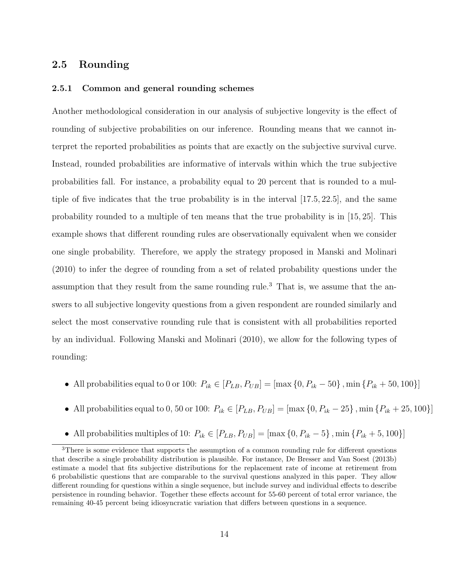#### 2.5 Rounding

#### 2.5.1 Common and general rounding schemes

Another methodological consideration in our analysis of subjective longevity is the effect of rounding of subjective probabilities on our inference. Rounding means that we cannot interpret the reported probabilities as points that are exactly on the subjective survival curve. Instead, rounded probabilities are informative of intervals within which the true subjective probabilities fall. For instance, a probability equal to 20 percent that is rounded to a multiple of five indicates that the true probability is in the interval  $(17.5, 22.5)$ , and the same probability rounded to a multiple of ten means that the true probability is in [15, 25]. This example shows that different rounding rules are observationally equivalent when we consider one single probability. Therefore, we apply the strategy proposed in Manski and Molinari (2010) to infer the degree of rounding from a set of related probability questions under the assumption that they result from the same rounding rule.<sup>3</sup> That is, we assume that the answers to all subjective longevity questions from a given respondent are rounded similarly and select the most conservative rounding rule that is consistent with all probabilities reported by an individual. Following Manski and Molinari (2010), we allow for the following types of rounding:

- All probabilities equal to 0 or 100:  $P_{ik} \in [P_{LB}, P_{UB}] = [\max\{0, P_{ik} 50\}, \min\{P_{ik} + 50, 100\}]$
- All probabilities equal to 0, 50 or 100:  $P_{ik} \in [P_{LB}, P_{UB}] = [\max\{0, P_{ik} 25\}, \min\{P_{ik} + 25, 100\}]$
- All probabilities multiples of 10:  $P_{ik} \in [P_{LB}, P_{UB}] = [\max\{0, P_{ik} 5\}, \min\{P_{ik} + 5, 100\}]$

<sup>&</sup>lt;sup>3</sup>There is some evidence that supports the assumption of a common rounding rule for different questions that describe a single probability distribution is plausible. For instance, De Bresser and Van Soest (2013b) estimate a model that fits subjective distributions for the replacement rate of income at retirement from 6 probabilistic questions that are comparable to the survival questions analyzed in this paper. They allow different rounding for questions within a single sequence, but include survey and individual effects to describe persistence in rounding behavior. Together these effects account for 55-60 percent of total error variance, the remaining 40-45 percent being idiosyncratic variation that differs between questions in a sequence.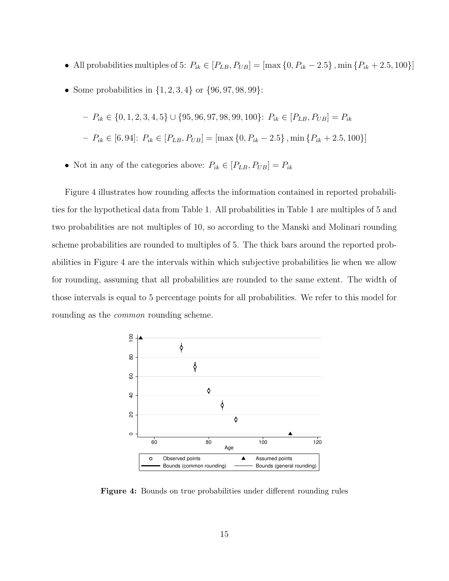- All probabilities multiples of 5:  $P_{ik} \in [P_{LB}, P_{UB}] = [\max\{0, P_{ik} 2.5\}, \min\{P_{ik} + 2.5, 100\}]$
- Some probabilities in  $\{1, 2, 3, 4\}$  or  $\{96, 97, 98, 99\}$ :

- 
$$
P_{ik} \in \{0, 1, 2, 3, 4, 5\} \cup \{95, 96, 97, 98, 99, 100\}
$$
:  $P_{ik} \in [P_{LB}, P_{UB}] = P_{ik}$   
-  $P_{ik} \in [6, 94]$ :  $P_{ik} \in [P_{LB}, P_{UB}] = [\max\{0, P_{ik} - 2.5\}, \min\{P_{ik} + 2.5, 100\}]$ 

• Not in any of the categories above:  $P_{ik} \in [P_{LB},P_{UB}] = P_{ik}$ 

Figure 4 illustrates how rounding affects the information contained in reported probabilities for the hypothetical data from Table 1. All probabilities in Table 1 are multiples of 5 and two probabilities are not multiples of 10, so according to the Manski and Molinari rounding scheme probabilities are rounded to multiples of 5. The thick bars around the reported probabilities in Figure 4 are the intervals within which subjective probabilities lie when we allow for rounding, assuming that all probabilities are rounded to the same extent. The width of those intervals is equal to 5 percentage points for all probabilities. We refer to this model for rounding as the *common* rounding scheme.



Figure 4: Bounds on true probabilities under different rounding rules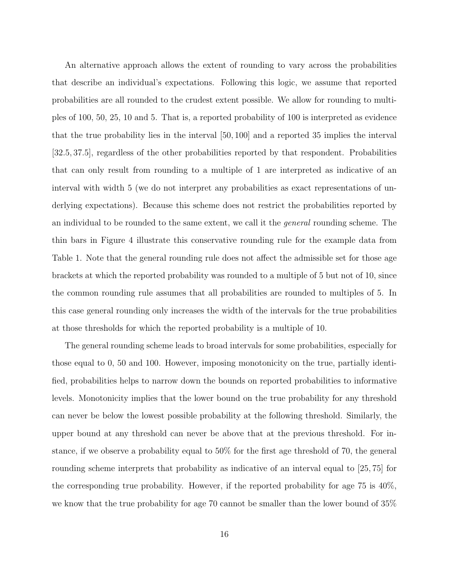An alternative approach allows the extent of rounding to vary across the probabilities that describe an individual's expectations. Following this logic, we assume that reported probabilities are all rounded to the crudest extent possible. We allow for rounding to multiples of 100, 50, 25, 10 and 5. That is, a reported probability of 100 is interpreted as evidence that the true probability lies in the interval [50, 100] and a reported 35 implies the interval [32.5, 37.5], regardless of the other probabilities reported by that respondent. Probabilities that can only result from rounding to a multiple of 1 are interpreted as indicative of an interval with width 5 (we do not interpret any probabilities as exact representations of underlying expectations). Because this scheme does not restrict the probabilities reported by an individual to be rounded to the same extent, we call it the general rounding scheme. The thin bars in Figure 4 illustrate this conservative rounding rule for the example data from Table 1. Note that the general rounding rule does not affect the admissible set for those age brackets at which the reported probability was rounded to a multiple of 5 but not of 10, since the common rounding rule assumes that all probabilities are rounded to multiples of 5. In this case general rounding only increases the width of the intervals for the true probabilities at those thresholds for which the reported probability is a multiple of 10.

The general rounding scheme leads to broad intervals for some probabilities, especially for those equal to 0, 50 and 100. However, imposing monotonicity on the true, partially identified, probabilities helps to narrow down the bounds on reported probabilities to informative levels. Monotonicity implies that the lower bound on the true probability for any threshold can never be below the lowest possible probability at the following threshold. Similarly, the upper bound at any threshold can never be above that at the previous threshold. For instance, if we observe a probability equal to 50% for the first age threshold of 70, the general rounding scheme interprets that probability as indicative of an interval equal to [25, 75] for the corresponding true probability. However, if the reported probability for age 75 is 40%, we know that the true probability for age 70 cannot be smaller than the lower bound of 35%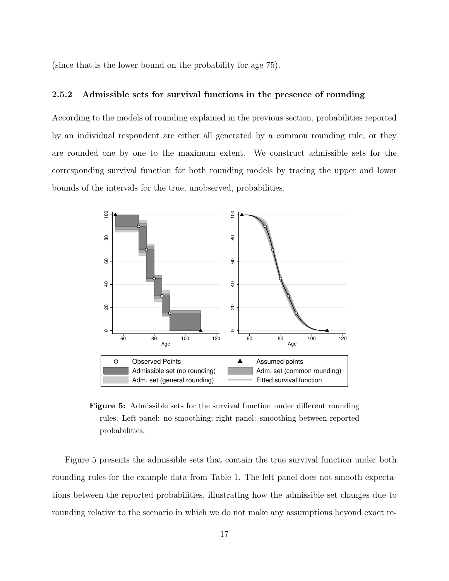(since that is the lower bound on the probability for age 75).

#### 2.5.2 Admissible sets for survival functions in the presence of rounding

According to the models of rounding explained in the previous section, probabilities reported by an individual respondent are either all generated by a common rounding rule, or they are rounded one by one to the maximum extent. We construct admissible sets for the corresponding survival function for both rounding models by tracing the upper and lower bounds of the intervals for the true, unobserved, probabilities.



Figure 5: Admissible sets for the survival function under different rounding rules. Left panel: no smoothing; right panel: smoothing between reported probabilities.

Figure 5 presents the admissible sets that contain the true survival function under both rounding rules for the example data from Table 1. The left panel does not smooth expectations between the reported probabilities, illustrating how the admissible set changes due to rounding relative to the scenario in which we do not make any assumptions beyond exact re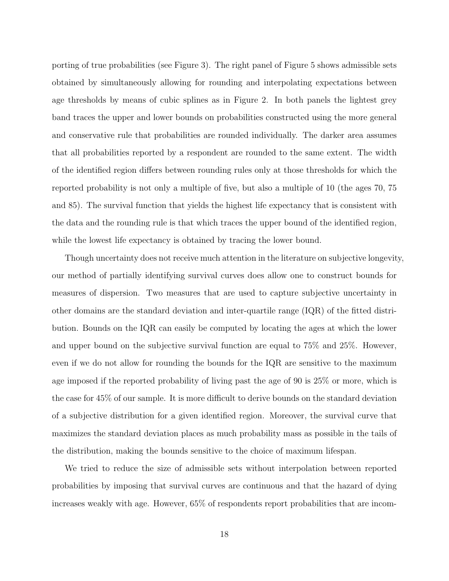porting of true probabilities (see Figure 3). The right panel of Figure 5 shows admissible sets obtained by simultaneously allowing for rounding and interpolating expectations between age thresholds by means of cubic splines as in Figure 2. In both panels the lightest grey band traces the upper and lower bounds on probabilities constructed using the more general and conservative rule that probabilities are rounded individually. The darker area assumes that all probabilities reported by a respondent are rounded to the same extent. The width of the identified region differs between rounding rules only at those thresholds for which the reported probability is not only a multiple of five, but also a multiple of 10 (the ages 70, 75 and 85). The survival function that yields the highest life expectancy that is consistent with the data and the rounding rule is that which traces the upper bound of the identified region, while the lowest life expectancy is obtained by tracing the lower bound.

Though uncertainty does not receive much attention in the literature on subjective longevity, our method of partially identifying survival curves does allow one to construct bounds for measures of dispersion. Two measures that are used to capture subjective uncertainty in other domains are the standard deviation and inter-quartile range (IQR) of the fitted distribution. Bounds on the IQR can easily be computed by locating the ages at which the lower and upper bound on the subjective survival function are equal to 75% and 25%. However, even if we do not allow for rounding the bounds for the IQR are sensitive to the maximum age imposed if the reported probability of living past the age of 90 is 25% or more, which is the case for 45% of our sample. It is more difficult to derive bounds on the standard deviation of a subjective distribution for a given identified region. Moreover, the survival curve that maximizes the standard deviation places as much probability mass as possible in the tails of the distribution, making the bounds sensitive to the choice of maximum lifespan.

We tried to reduce the size of admissible sets without interpolation between reported probabilities by imposing that survival curves are continuous and that the hazard of dying increases weakly with age. However, 65% of respondents report probabilities that are incom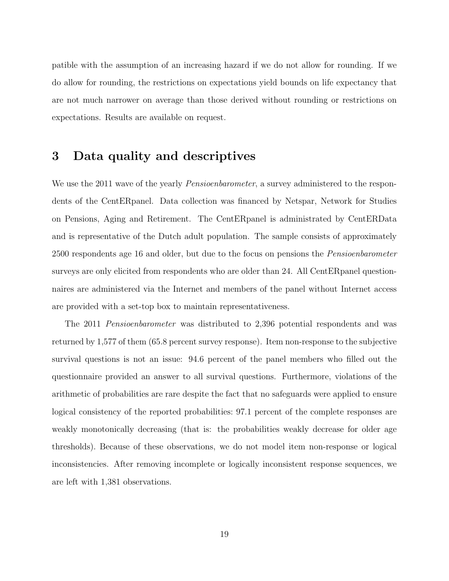patible with the assumption of an increasing hazard if we do not allow for rounding. If we do allow for rounding, the restrictions on expectations yield bounds on life expectancy that are not much narrower on average than those derived without rounding or restrictions on expectations. Results are available on request.

## 3 Data quality and descriptives

We use the 2011 wave of the yearly *Pensioenbarometer*, a survey administered to the respondents of the CentERpanel. Data collection was financed by Netspar, Network for Studies on Pensions, Aging and Retirement. The CentERpanel is administrated by CentERData and is representative of the Dutch adult population. The sample consists of approximately 2500 respondents age 16 and older, but due to the focus on pensions the Pensioenbarometer surveys are only elicited from respondents who are older than 24. All CentERpanel questionnaires are administered via the Internet and members of the panel without Internet access are provided with a set-top box to maintain representativeness.

The 2011 Pensioenbarometer was distributed to 2,396 potential respondents and was returned by 1,577 of them (65.8 percent survey response). Item non-response to the subjective survival questions is not an issue: 94.6 percent of the panel members who filled out the questionnaire provided an answer to all survival questions. Furthermore, violations of the arithmetic of probabilities are rare despite the fact that no safeguards were applied to ensure logical consistency of the reported probabilities: 97.1 percent of the complete responses are weakly monotonically decreasing (that is: the probabilities weakly decrease for older age thresholds). Because of these observations, we do not model item non-response or logical inconsistencies. After removing incomplete or logically inconsistent response sequences, we are left with 1,381 observations.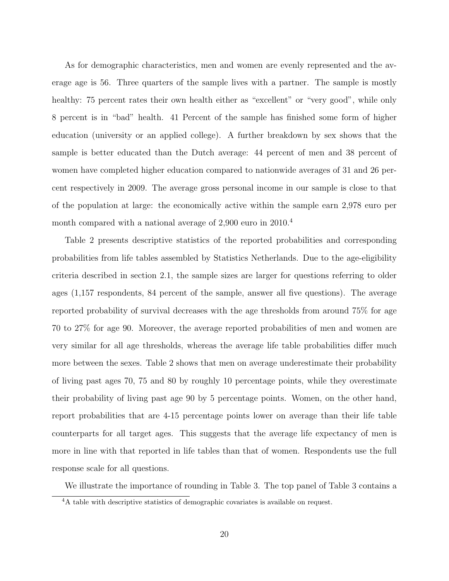As for demographic characteristics, men and women are evenly represented and the average age is 56. Three quarters of the sample lives with a partner. The sample is mostly healthy: 75 percent rates their own health either as "excellent" or "very good", while only 8 percent is in "bad" health. 41 Percent of the sample has finished some form of higher education (university or an applied college). A further breakdown by sex shows that the sample is better educated than the Dutch average: 44 percent of men and 38 percent of women have completed higher education compared to nationwide averages of 31 and 26 percent respectively in 2009. The average gross personal income in our sample is close to that of the population at large: the economically active within the sample earn 2,978 euro per month compared with a national average of 2,900 euro in 2010.<sup>4</sup>

Table 2 presents descriptive statistics of the reported probabilities and corresponding probabilities from life tables assembled by Statistics Netherlands. Due to the age-eligibility criteria described in section 2.1, the sample sizes are larger for questions referring to older ages (1,157 respondents, 84 percent of the sample, answer all five questions). The average reported probability of survival decreases with the age thresholds from around 75% for age 70 to 27% for age 90. Moreover, the average reported probabilities of men and women are very similar for all age thresholds, whereas the average life table probabilities differ much more between the sexes. Table 2 shows that men on average underestimate their probability of living past ages 70, 75 and 80 by roughly 10 percentage points, while they overestimate their probability of living past age 90 by 5 percentage points. Women, on the other hand, report probabilities that are 4-15 percentage points lower on average than their life table counterparts for all target ages. This suggests that the average life expectancy of men is more in line with that reported in life tables than that of women. Respondents use the full response scale for all questions.

We illustrate the importance of rounding in Table 3. The top panel of Table 3 contains a

<sup>&</sup>lt;sup>4</sup>A table with descriptive statistics of demographic covariates is available on request.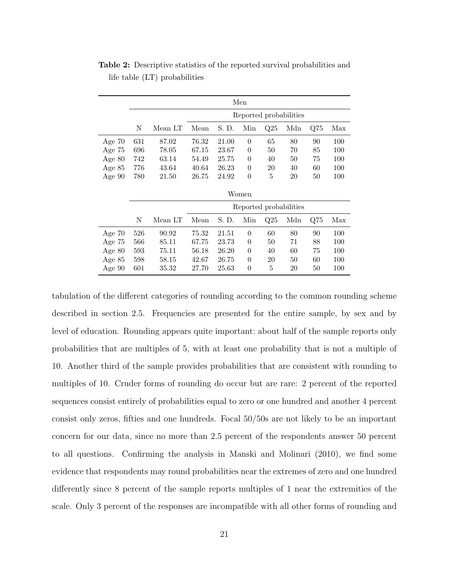|          | Men   |         |                        |       |                |                |     |              |     |  |
|----------|-------|---------|------------------------|-------|----------------|----------------|-----|--------------|-----|--|
|          |       |         | Reported probabilities |       |                |                |     |              |     |  |
|          | N     | Mean LT | Mean                   | S. D. | Min            | Q25            | Mdn | $_{\rm Q75}$ | Max |  |
| Age $70$ | 631   | 87.02   | 76.32                  | 21.00 | $\theta$       | 65             | 80  | 90           | 100 |  |
| Age $75$ | 696   | 78.05   | 67.15                  | 23.67 | $\theta$       | 50             | 70  | 85           | 100 |  |
| Age $80$ | 742   | 63.14   | 54.49                  | 25.75 | $\theta$       | 40             | 50  | 75           | 100 |  |
| Age $85$ | 776   | 43.64   | 40.64                  | 26.23 | $\overline{0}$ | 20             | 40  | 60           | 100 |  |
| Age 90   | 780   | 21.50   | 26.75                  | 24.92 | $\overline{0}$ | 5              | 20  | 50           | 100 |  |
|          | Women |         |                        |       |                |                |     |              |     |  |
|          |       |         | Reported probabilities |       |                |                |     |              |     |  |
|          | N     | Mean LT | Mean                   | S. D. | Min            | $\mathrm{Q}25$ | Mdn | $_{\rm Q75}$ | Max |  |
| Age $70$ | 526   | 90.92   | 75.32                  | 21.51 | $\theta$       | 60             | 80  | 90           | 100 |  |
| Age $75$ | 566   | 85.11   | 67.75                  | 23.73 | $\theta$       | 50             | 71  | 88           | 100 |  |
| Age $80$ | 593   | 75.11   | 56.18                  | 26.20 | $\overline{0}$ | 40             | 60  | 75           | 100 |  |
| Age $85$ | 598   | 58.15   | 42.67                  | 26.75 | $\theta$       | 20             | 50  | 60           | 100 |  |
| Age $90$ | 601   | 35.32   | 27.70                  | 25.63 | $\theta$       | 5              | 20  | 50           | 100 |  |

Table 2: Descriptive statistics of the reported survival probabilities and life table (LT) probabilities

tabulation of the different categories of rounding according to the common rounding scheme described in section 2.5. Frequencies are presented for the entire sample, by sex and by level of education. Rounding appears quite important: about half of the sample reports only probabilities that are multiples of 5, with at least one probability that is not a multiple of 10. Another third of the sample provides probabilities that are consistent with rounding to multiples of 10. Cruder forms of rounding do occur but are rare: 2 percent of the reported sequences consist entirely of probabilities equal to zero or one hundred and another 4 percent consist only zeros, fifties and one hundreds. Focal 50/50s are not likely to be an important concern for our data, since no more than 2.5 percent of the respondents answer 50 percent to all questions. Confirming the analysis in Manski and Molinari (2010), we find some evidence that respondents may round probabilities near the extremes of zero and one hundred differently since 8 percent of the sample reports multiples of 1 near the extremities of the scale. Only 3 percent of the responses are incompatible with all other forms of rounding and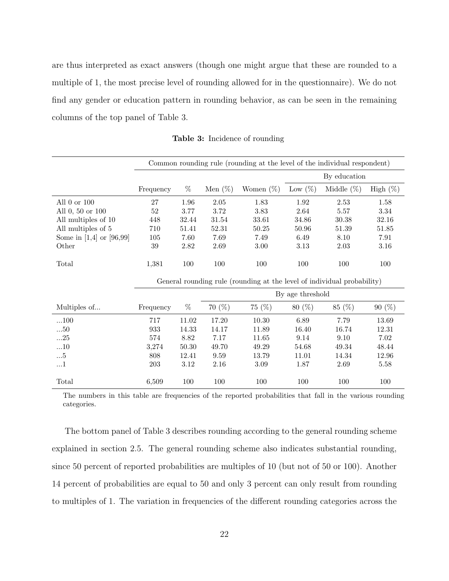are thus interpreted as exact answers (though one might argue that these are rounded to a multiple of 1, the most precise level of rounding allowed for in the questionnaire). We do not find any gender or education pattern in rounding behavior, as can be seen in the remaining columns of the top panel of Table 3.

|                              | Common rounding rule (rounding at the level of the individual respondent) |           |                  |                                                                         |              |               |             |  |  |  |
|------------------------------|---------------------------------------------------------------------------|-----------|------------------|-------------------------------------------------------------------------|--------------|---------------|-------------|--|--|--|
|                              |                                                                           |           |                  |                                                                         | By education |               |             |  |  |  |
|                              | Frequency                                                                 | %         | Men $(\%)$       | Women $(\%)$                                                            | Low $(\%)$   | Middle $(\%)$ | High $(\%)$ |  |  |  |
| All $0$ or $100$             | 27                                                                        | 1.96      | $2.05\,$         | 1.83                                                                    | $1.92\,$     | 2.53          | 1.58        |  |  |  |
| All 0, 50 or 100             | $52\,$                                                                    | 3.77      | 3.72             | 3.83                                                                    | 2.64         | 5.57          | 3.34        |  |  |  |
| All multiples of 10          | 448                                                                       | 32.44     | 31.54            | 33.61                                                                   | 34.86        | $30.38\,$     | 32.16       |  |  |  |
| All multiples of 5           | 710                                                                       | 51.41     | 52.31            | 50.25                                                                   | 50.96        | 51.39         | 51.85       |  |  |  |
| Some in $[1,4]$ or $[96,99]$ | 105                                                                       | 7.60      | 7.69             | 7.49                                                                    | 6.49         | 8.10          | 7.91        |  |  |  |
| Other                        | 39                                                                        | 2.82      | 2.69             | 3.00                                                                    | 3.13         | 2.03          | 3.16        |  |  |  |
|                              |                                                                           |           |                  |                                                                         |              |               |             |  |  |  |
| Total                        | 1,381                                                                     | 100       | 100              | 100                                                                     | 100          | 100           | 100         |  |  |  |
|                              |                                                                           |           |                  |                                                                         |              |               |             |  |  |  |
|                              |                                                                           |           |                  | General rounding rule (rounding at the level of individual probability) |              |               |             |  |  |  |
|                              |                                                                           |           | By age threshold |                                                                         |              |               |             |  |  |  |
| Multiples of                 | Frequency                                                                 | %         | 70(%)            | 75(%)                                                                   | 80(%)        | 85 (%)        | 90(%)       |  |  |  |
| $\dots100$                   | 717                                                                       | $11.02\,$ | 17.20            | 10.30                                                                   | 6.89         | 7.79          | 13.69       |  |  |  |
| 50                           | 933                                                                       | 14.33     | 14.17            | 11.89                                                                   | 16.40        | 16.74         | 12.31       |  |  |  |
| $\ldots 25$                  | 574                                                                       | 8.82      | 7.17             | 11.65                                                                   | 9.14         | 9.10          | 7.02        |  |  |  |
| $\ldots 10$                  | 3,274                                                                     | 50.30     | 49.70            | 49.29                                                                   | 54.68        | 49.34         | 48.44       |  |  |  |
| $\dots\!5$                   | 808                                                                       | 12.41     | 9.59             | 13.79                                                                   | 11.01        | 14.34         | 12.96       |  |  |  |
| $\dots 1$                    | 203                                                                       | $3.12\,$  | 2.16             | $3.09\,$                                                                | 1.87         | $2.69\,$      | 5.58        |  |  |  |
| Total                        | 6,509                                                                     | 100       | 100              | 100                                                                     | 100          | 100           | 100         |  |  |  |

Table 3: Incidence of rounding

The numbers in this table are frequencies of the reported probabilities that fall in the various rounding categories.

The bottom panel of Table 3 describes rounding according to the general rounding scheme explained in section 2.5. The general rounding scheme also indicates substantial rounding, since 50 percent of reported probabilities are multiples of 10 (but not of 50 or 100). Another 14 percent of probabilities are equal to 50 and only 3 percent can only result from rounding to multiples of 1. The variation in frequencies of the different rounding categories across the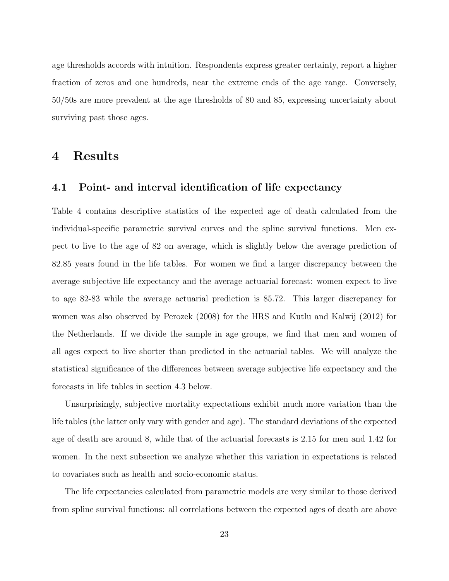age thresholds accords with intuition. Respondents express greater certainty, report a higher fraction of zeros and one hundreds, near the extreme ends of the age range. Conversely, 50/50s are more prevalent at the age thresholds of 80 and 85, expressing uncertainty about surviving past those ages.

### 4 Results

#### 4.1 Point- and interval identification of life expectancy

Table 4 contains descriptive statistics of the expected age of death calculated from the individual-specific parametric survival curves and the spline survival functions. Men expect to live to the age of 82 on average, which is slightly below the average prediction of 82.85 years found in the life tables. For women we find a larger discrepancy between the average subjective life expectancy and the average actuarial forecast: women expect to live to age 82-83 while the average actuarial prediction is 85.72. This larger discrepancy for women was also observed by Perozek (2008) for the HRS and Kutlu and Kalwij (2012) for the Netherlands. If we divide the sample in age groups, we find that men and women of all ages expect to live shorter than predicted in the actuarial tables. We will analyze the statistical significance of the differences between average subjective life expectancy and the forecasts in life tables in section 4.3 below.

Unsurprisingly, subjective mortality expectations exhibit much more variation than the life tables (the latter only vary with gender and age). The standard deviations of the expected age of death are around 8, while that of the actuarial forecasts is 2.15 for men and 1.42 for women. In the next subsection we analyze whether this variation in expectations is related to covariates such as health and socio-economic status.

The life expectancies calculated from parametric models are very similar to those derived from spline survival functions: all correlations between the expected ages of death are above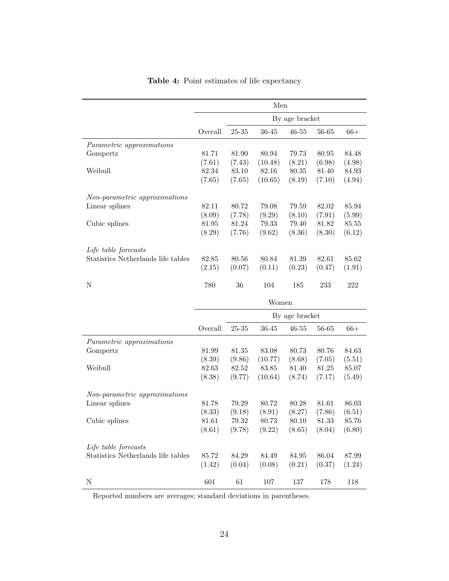|                                    | Men     |           |           |                |        |        |  |  |
|------------------------------------|---------|-----------|-----------|----------------|--------|--------|--|--|
|                                    |         |           |           | By age bracket |        |        |  |  |
|                                    | Overall | 25-35     | 36-45     | $46 - 55$      | 56-65  | $66+$  |  |  |
| Parametric approximations          |         |           |           |                |        |        |  |  |
| Gompertz                           | 81.71   | 81.90     | 80.94     | 79.73          | 80.95  | 84.48  |  |  |
|                                    | (7.61)  | (7.43)    | (10.48)   | (8.21)         | (6.98) | (4.98) |  |  |
| Weibull                            | 82.34   | 83.10     | 82.16     | 80.35          | 81.40  | 84.93  |  |  |
|                                    | (7.65)  | (7.65)    | (10.65)   | (8.19)         | (7.10) | (4.94) |  |  |
| Non-parametric approximations      |         |           |           |                |        |        |  |  |
| Linear splines                     | 82.11   | 80.72     | 79.08     | 79.59          | 82.02  | 85.94  |  |  |
|                                    | (8.09)  | (7.78)    | (9.29)    | (8.10)         | (7.91) | (5.99) |  |  |
| Cubic splines                      | 81.95   | 81.24     | 79.33     | 79.40          | 81.82  | 85.55  |  |  |
|                                    | (8.29)  | (7.76)    | (9.62)    | (8.36)         | (8.30) | (6.12) |  |  |
| Life table forecasts               |         |           |           |                |        |        |  |  |
| Statistics Netherlands life tables | 82.85   | 80.56     | 80.84     | 81.39          | 82.61  | 85.62  |  |  |
|                                    | (2.15)  | (0.07)    | (0.11)    | (0.23)         | (0.47) | (1.91) |  |  |
| Ν                                  | 780     | 36        | 104       | 185            | 233    | 222    |  |  |
|                                    |         |           | Women     |                |        |        |  |  |
|                                    |         |           |           | By age bracket |        |        |  |  |
|                                    | Overall | $25 - 35$ | $36 - 45$ | $46 - 55$      | 56-65  | $66+$  |  |  |
| Parametric approximations          |         |           |           |                |        |        |  |  |
| Gompertz                           | 81.99   | 81.35     | 83.08     | 80.73          | 80.76  | 84.63  |  |  |
|                                    | (8.39)  | (9.86)    | (10.77)   | (8.68)         | (7.05) | (5.51) |  |  |
| Weibull                            | 82.63   | 82.52     | 83.85     | 81.40          | 81.25  | 85.07  |  |  |
|                                    | (8.38)  | (9.77)    | (10.64)   | (8.74)         | (7.17) | (5.49) |  |  |
| Non-parametric approximations      |         |           |           |                |        |        |  |  |
| Linear splines                     | 81.78   | 79.29     | 80.72     | 80.28          | 81.61  | 86.03  |  |  |
|                                    | (8.33)  | (9.18)    | (8.91)    | (8.27)         | (7.86) | (6.51) |  |  |
| Cubic splines                      | 81.61   | 79.32     | 80.73     | 80.10          | 81.33  | 85.76  |  |  |
|                                    | (8.61)  | (9.78)    | (9.22)    | (8.65)         | (8.04) | (6.80) |  |  |
|                                    |         |           |           |                |        |        |  |  |
| Life table forecasts               |         |           |           |                |        |        |  |  |
| Statistics Netherlands life tables | 85.72   | 84.29     | 84.49     | 84.95          | 86.04  | 87.99  |  |  |
|                                    | (1.42)  | (0.04)    | (0.08)    | (0.21)         | (0.37) | (1.24) |  |  |

Table 4: Point estimates of life expectancy

Reported numbers are averages; standard deviations in parentheses.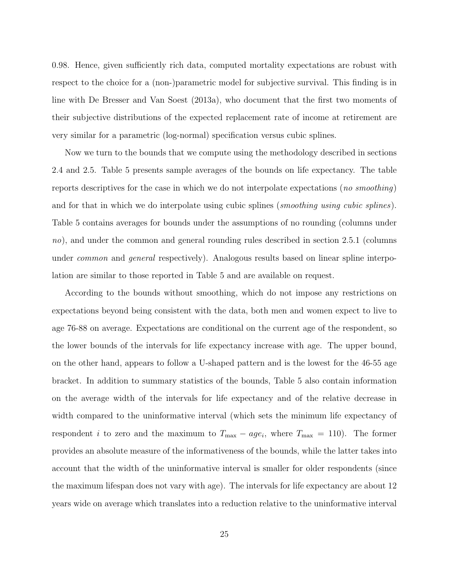0.98. Hence, given sufficiently rich data, computed mortality expectations are robust with respect to the choice for a (non-)parametric model for subjective survival. This finding is in line with De Bresser and Van Soest (2013a), who document that the first two moments of their subjective distributions of the expected replacement rate of income at retirement are very similar for a parametric (log-normal) specification versus cubic splines.

Now we turn to the bounds that we compute using the methodology described in sections 2.4 and 2.5. Table 5 presents sample averages of the bounds on life expectancy. The table reports descriptives for the case in which we do not interpolate expectations (*no smoothing*) and for that in which we do interpolate using cubic splines (*smoothing using cubic splines*). Table 5 contains averages for bounds under the assumptions of no rounding (columns under no), and under the common and general rounding rules described in section 2.5.1 (columns under *common* and *general* respectively). Analogous results based on linear spline interpolation are similar to those reported in Table 5 and are available on request.

According to the bounds without smoothing, which do not impose any restrictions on expectations beyond being consistent with the data, both men and women expect to live to age 76-88 on average. Expectations are conditional on the current age of the respondent, so the lower bounds of the intervals for life expectancy increase with age. The upper bound, on the other hand, appears to follow a U-shaped pattern and is the lowest for the 46-55 age bracket. In addition to summary statistics of the bounds, Table 5 also contain information on the average width of the intervals for life expectancy and of the relative decrease in width compared to the uninformative interval (which sets the minimum life expectancy of respondent *i* to zero and the maximum to  $T_{\text{max}} - age_i$ , where  $T_{\text{max}} = 110$ . The former provides an absolute measure of the informativeness of the bounds, while the latter takes into account that the width of the uninformative interval is smaller for older respondents (since the maximum lifespan does not vary with age). The intervals for life expectancy are about 12 years wide on average which translates into a reduction relative to the uninformative interval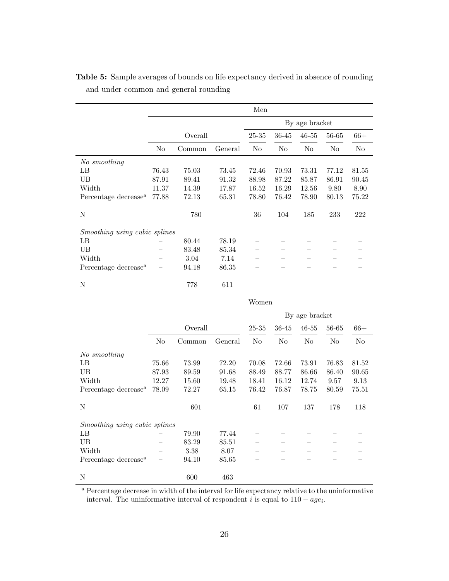|                                  |                |        |         | Men   |                |           |       |       |
|----------------------------------|----------------|--------|---------|-------|----------------|-----------|-------|-------|
|                                  | By age bracket |        |         |       |                |           |       |       |
|                                  | Overall        |        |         | 25-35 | 36-45          | $46 - 55$ | 56-65 | $66+$ |
|                                  | No             | Common | General | No    | N <sub>0</sub> | No        | No    | No    |
| No smoothing                     |                |        |         |       |                |           |       |       |
| LB                               | 76.43          | 75.03  | 73.45   | 72.46 | 70.93          | 73.31     | 77.12 | 81.55 |
| UB                               | 87.91          | 89.41  | 91.32   | 88.98 | 87.22          | 85.87     | 86.91 | 90.45 |
| Width                            | 11.37          | 14.39  | 17.87   | 16.52 | 16.29          | 12.56     | 9.80  | 8.90  |
| Percentage decrease <sup>a</sup> | 77.88          | 72.13  | 65.31   | 78.80 | 76.42          | 78.90     | 80.13 | 75.22 |
| N                                |                | 780    |         | 36    | 104            | 185       | 233   | 222   |
| Smoothing using cubic splines    |                |        |         |       |                |           |       |       |
| LB                               |                | 80.44  | 78.19   |       |                |           |       |       |
| UB                               |                | 83.48  | 85.34   |       |                |           |       |       |
| Width                            |                | 3.04   | 7.14    |       |                |           |       |       |
| Percentage decrease <sup>a</sup> |                | 94.18  | 86.35   |       |                |           |       |       |
| N                                |                | 778    | 611     |       |                |           |       |       |

Table 5: Sample averages of bounds on life expectancy derived in absence of rounding and under common and general rounding

|                                      |         |        |         |       |                | By age bracket |       |       |
|--------------------------------------|---------|--------|---------|-------|----------------|----------------|-------|-------|
|                                      | Overall |        |         | 25-35 | 36-45          | $46 - 55$      | 56-65 | $66+$ |
|                                      | No      | Common | General | No    | N <sub>o</sub> | No             | No    | No    |
| No smoothing                         |         |        |         |       |                |                |       |       |
| LB                                   | 75.66   | 73.99  | 72.20   | 70.08 | 72.66          | 73.91          | 76.83 | 81.52 |
| UB                                   | 87.93   | 89.59  | 91.68   | 88.49 | 88.77          | 86.66          | 86.40 | 90.65 |
| Width                                | 12.27   | 15.60  | 19.48   | 18.41 | 16.12          | 12.74          | 9.57  | 9.13  |
| Percentage decrease <sup>a</sup>     | 78.09   | 72.27  | 65.15   | 76.42 | 76.87          | 78.75          | 80.59 | 75.51 |
| N                                    |         | 601    |         | 61    | 107            | 137            | 178   | 118   |
| <i>Smoothing using cubic splines</i> |         |        |         |       |                |                |       |       |
| LB                                   |         | 79.90  | 77.44   |       |                |                |       |       |
| UB                                   |         | 83.29  | 85.51   |       |                |                |       |       |
| Width                                |         | 3.38   | 8.07    |       |                |                |       |       |
| Percentage decrease <sup>a</sup>     |         | 94.10  | 85.65   |       |                |                |       |       |
| N                                    |         | 600    | 463     |       |                |                |       |       |

Women

<sup>a</sup> Percentage decrease in width of the interval for life expectancy relative to the uninformative interval. The uninformative interval of respondent i is equal to  $110 - age_i$ .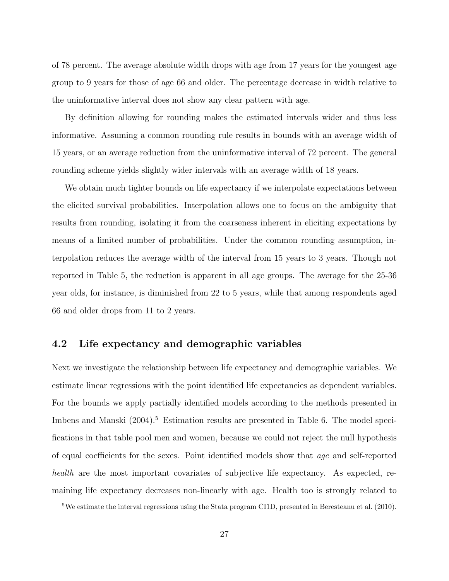of 78 percent. The average absolute width drops with age from 17 years for the youngest age group to 9 years for those of age 66 and older. The percentage decrease in width relative to the uninformative interval does not show any clear pattern with age.

By definition allowing for rounding makes the estimated intervals wider and thus less informative. Assuming a common rounding rule results in bounds with an average width of 15 years, or an average reduction from the uninformative interval of 72 percent. The general rounding scheme yields slightly wider intervals with an average width of 18 years.

We obtain much tighter bounds on life expectancy if we interpolate expectations between the elicited survival probabilities. Interpolation allows one to focus on the ambiguity that results from rounding, isolating it from the coarseness inherent in eliciting expectations by means of a limited number of probabilities. Under the common rounding assumption, interpolation reduces the average width of the interval from 15 years to 3 years. Though not reported in Table 5, the reduction is apparent in all age groups. The average for the 25-36 year olds, for instance, is diminished from 22 to 5 years, while that among respondents aged 66 and older drops from 11 to 2 years.

#### 4.2 Life expectancy and demographic variables

Next we investigate the relationship between life expectancy and demographic variables. We estimate linear regressions with the point identified life expectancies as dependent variables. For the bounds we apply partially identified models according to the methods presented in Imbens and Manski (2004).<sup>5</sup> Estimation results are presented in Table 6. The model specifications in that table pool men and women, because we could not reject the null hypothesis of equal coefficients for the sexes. Point identified models show that age and self-reported health are the most important covariates of subjective life expectancy. As expected, remaining life expectancy decreases non-linearly with age. Health too is strongly related to

<sup>&</sup>lt;sup>5</sup>We estimate the interval regressions using the Stata program CI1D, presented in Beresteanu et al.  $(2010)$ .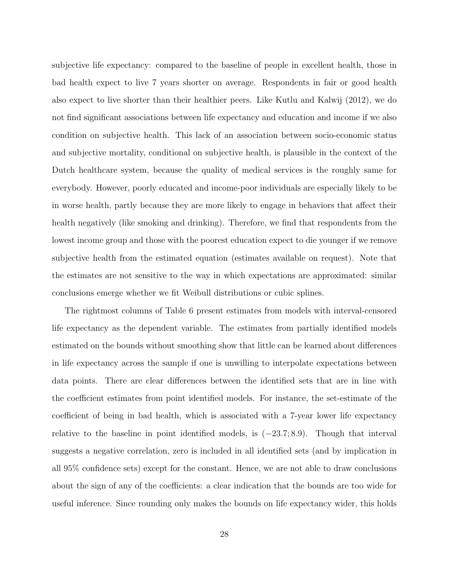subjective life expectancy: compared to the baseline of people in excellent health, those in bad health expect to live 7 years shorter on average. Respondents in fair or good health also expect to live shorter than their healthier peers. Like Kutlu and Kalwij (2012), we do not find significant associations between life expectancy and education and income if we also condition on subjective health. This lack of an association between socio-economic status and subjective mortality, conditional on subjective health, is plausible in the context of the Dutch healthcare system, because the quality of medical services is the roughly same for everybody. However, poorly educated and income-poor individuals are especially likely to be in worse health, partly because they are more likely to engage in behaviors that affect their health negatively (like smoking and drinking). Therefore, we find that respondents from the lowest income group and those with the poorest education expect to die younger if we remove subjective health from the estimated equation (estimates available on request). Note that the estimates are not sensitive to the way in which expectations are approximated: similar conclusions emerge whether we fit Weibull distributions or cubic splines.

The rightmost columns of Table 6 present estimates from models with interval-censored life expectancy as the dependent variable. The estimates from partially identified models estimated on the bounds without smoothing show that little can be learned about differences in life expectancy across the sample if one is unwilling to interpolate expectations between data points. There are clear differences between the identified sets that are in line with the coefficient estimates from point identified models. For instance, the set-estimate of the coefficient of being in bad health, which is associated with a 7-year lower life expectancy relative to the baseline in point identified models, is  $(-23.7; 8.9)$ . Though that interval suggests a negative correlation, zero is included in all identified sets (and by implication in all 95% confidence sets) except for the constant. Hence, we are not able to draw conclusions about the sign of any of the coefficients: a clear indication that the bounds are too wide for useful inference. Since rounding only makes the bounds on life expectancy wider, this holds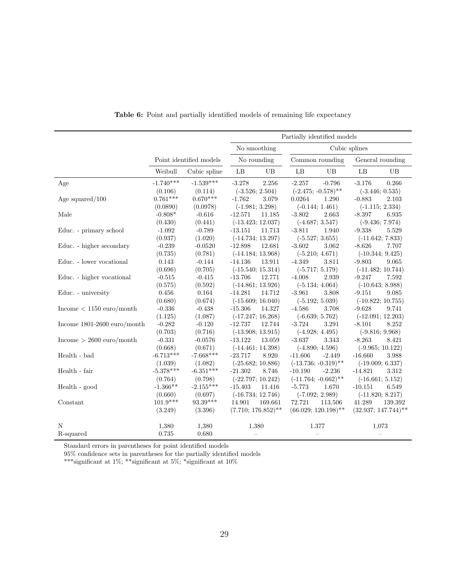|                               |             |                         | Partially identified models |                        |                          |  |  |  |
|-------------------------------|-------------|-------------------------|-----------------------------|------------------------|--------------------------|--|--|--|
|                               |             |                         | No smoothing                | Cubic splines          |                          |  |  |  |
|                               |             | Point identified models | No rounding                 | Common rounding        | General rounding         |  |  |  |
|                               | Weibull     | Cubic spline            | LB<br>UB                    | LB<br>UB               | LB<br>UB                 |  |  |  |
| Age                           | $-1.740***$ | $-1.539***$             | $-3.278$<br>2.256           | $-2.257$<br>$-0.796$   | $-3.176$<br>0.266        |  |  |  |
|                               | (0.106)     | (0.114)                 | $(-3.526; 2.504)$           | $(-2.475; -0.578)$ **  | $(-3.446; 0.535)$        |  |  |  |
| Age squared/ $100$            | $0.761***$  | $0.670***$              | $-1.762$<br>3.079           | 0.0264<br>1.290        | $-0.883$<br>2.103        |  |  |  |
|                               | (0.0890)    | (0.0978)                | $(-1.981; 3.298)$           | $(-0.144; 1.461)$      | $(-1.115; 2.334)$        |  |  |  |
| Male                          | $-0.808*$   | $-0.616$                | $-12.571$<br>11.185         | $-3.802$<br>2.663      | $-8.397$<br>6.935        |  |  |  |
|                               | (0.430)     | (0.441)                 | $(-13.423; 12.037)$         | $(-4.687; 3.547)$      | $(-9.436; 7.974)$        |  |  |  |
| Educ. - primary school        | $-1.092$    | $-0.789$                | $-13.151$<br>11.713         | $-3.811$<br>1.940      | $-9.338$<br>5.529        |  |  |  |
|                               | (0.937)     | (1.020)                 | $(-14.734; 13.297)$         | $(-5.527; 3.655)$      | $(-11.642; 7.833)$       |  |  |  |
| Educ. - higher secondary      | $-0.239$    | $-0.0520$               | $-12.898$<br>12.681         | $-3.602$<br>3.062      | $-8.626$<br>7.707        |  |  |  |
|                               | (0.735)     | (0.781)                 | $(-14.184; 13.968)$         | $(-5.210; 4.671)$      | $(-10.344; 9.425)$       |  |  |  |
| Educ. - lower vocational      | 0.143       | $-0.144$                | $-14.136$<br>13.911         | $-4.349$<br>3.811      | $-9.803$<br>9.065        |  |  |  |
|                               | (0.696)     | (0.705)                 | $(-15.540; 15.314)$         | $(-5.717; 5.179)$      | $(-11.482; 10.744)$      |  |  |  |
| Educ. - higher vocational     | $-0.515$    | $-0.415$                | $-13.706$<br>12.771         | $-4.008$<br>2.939      | $-9.247$<br>7.592        |  |  |  |
|                               | (0.575)     | (0.592)                 | $(-14.861; 13.926)$         | $(-5.134; 4.064)$      | $(-10.643; 8.988)$       |  |  |  |
| Educ. - university            | 0.456       | 0.164                   | $-14.281$<br>14.712         | $-3.961$<br>3.808      | $-9.151$<br>9.085        |  |  |  |
|                               | (0.680)     | (0.674)                 | $(-15.609; 16.040)$         | $(-5.192; 5.039)$      | $(-10.822; 10.755)$      |  |  |  |
| Income $< 1150$ euro/month    | $-0.336$    | $-0.438$                | $-15.306$<br>14.327         | $-4.586$<br>3.708      | $-9.628$<br>9.741        |  |  |  |
|                               | (1.125)     | (1.087)                 | $(-17.247; 16.268)$         | $(-6.639; 5.762)$      | $(-12.091; 12.203)$      |  |  |  |
| Income $1801-2600$ euro/month | $-0.282$    | $-0.120$                | $-12.737$<br>12.744         | $-3.724$<br>3.291      | $-8.101$<br>8.252        |  |  |  |
|                               | (0.703)     | (0.716)                 | $(-13.908; 13.915)$         | $(-4.928; 4.495)$      | $(-9.816; 9.968)$        |  |  |  |
| Income $> 2600$ euro/month    | $-0.331$    | $-0.0576$               | $-13.122$<br>13.059         | $-3.637$<br>3.343      | $-8.263$<br>8.421        |  |  |  |
|                               | (0.668)     | (0.671)                 | $(-14.461; 14.398)$         | $(-4.890; 4.596)$      | $(-9.965; 10.122)$       |  |  |  |
| Health - bad                  | $-6.713***$ | $-7.668***$             | $-23.717$<br>8.920          | $-11.606$<br>$-2.449$  | $-16.660$<br>3.988       |  |  |  |
|                               | (1.039)     | (1.082)                 | $(-25.682; 10.886)$         | $(-13.736; -0.319)$ ** | $(-19.009; 6.337)$       |  |  |  |
| Health - fair                 | $-5.378***$ | $-6.351***$             | $-21.302$<br>8.746          | $-10.190$<br>$-2.236$  | $-14.821$<br>3.312       |  |  |  |
|                               | (0.764)     | (0.798)                 | $(-22.797; 10.242)$         | $(-11.764; -0.662)$ ** | $(-16.661; 5.152)$       |  |  |  |
| Health - good                 | $-1.366**$  | $-2.155***$             | $-15.403$<br>11.416         | $-5.773$<br>1.670      | $-10.151$<br>6.549       |  |  |  |
|                               | (0.660)     | (0.697)                 | $(-16.734; 12.746)$         | $(-7.092; 2.989)$      | $(-11.820; 8.217)$       |  |  |  |
| Constant                      | $101.9***$  | $93.39***$              | 14.901<br>169.661           | 72.721<br>113.506      | 41.289<br>139.392        |  |  |  |
|                               | (3.249)     | (3.396)                 | $(7.710; 176.852)$ **       | $(66.029; 120.198)$ ** | $(32.937; 147.744)^{**}$ |  |  |  |
|                               |             |                         |                             |                        |                          |  |  |  |
| N                             | 1,380       | 1,380                   | 1,380                       | 1.377                  | 1,073                    |  |  |  |
| R-squared                     | 0.735       | 0.680                   |                             |                        |                          |  |  |  |

Table 6: Point and partially identified models of remaining life expectancy

Standard errors in parentheses for point identified models

95% confidence sets in parentheses for the partially identified models

\*\*\*significant at 1%; \*\*significant at 5%; \*significant at 10%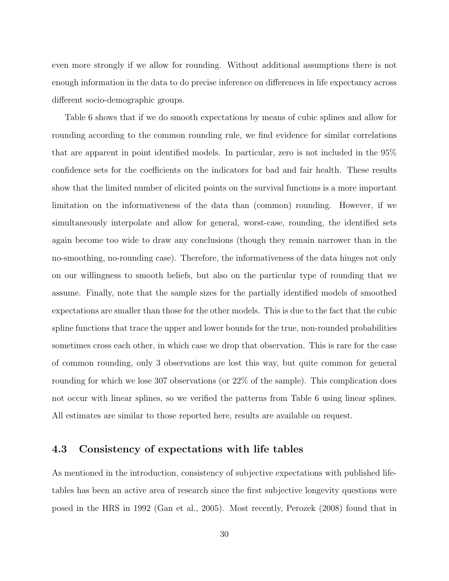even more strongly if we allow for rounding. Without additional assumptions there is not enough information in the data to do precise inference on differences in life expectancy across different socio-demographic groups.

Table 6 shows that if we do smooth expectations by means of cubic splines and allow for rounding according to the common rounding rule, we find evidence for similar correlations that are apparent in point identified models. In particular, zero is not included in the 95% confidence sets for the coefficients on the indicators for bad and fair health. These results show that the limited number of elicited points on the survival functions is a more important limitation on the informativeness of the data than (common) rounding. However, if we simultaneously interpolate and allow for general, worst-case, rounding, the identified sets again become too wide to draw any conclusions (though they remain narrower than in the no-smoothing, no-rounding case). Therefore, the informativeness of the data hinges not only on our willingness to smooth beliefs, but also on the particular type of rounding that we assume. Finally, note that the sample sizes for the partially identified models of smoothed expectations are smaller than those for the other models. This is due to the fact that the cubic spline functions that trace the upper and lower bounds for the true, non-rounded probabilities sometimes cross each other, in which case we drop that observation. This is rare for the case of common rounding, only 3 observations are lost this way, but quite common for general rounding for which we lose 307 observations (or 22% of the sample). This complication does not occur with linear splines, so we verified the patterns from Table 6 using linear splines. All estimates are similar to those reported here, results are available on request.

#### 4.3 Consistency of expectations with life tables

As mentioned in the introduction, consistency of subjective expectations with published lifetables has been an active area of research since the first subjective longevity questions were posed in the HRS in 1992 (Gan et al., 2005). Most recently, Perozek (2008) found that in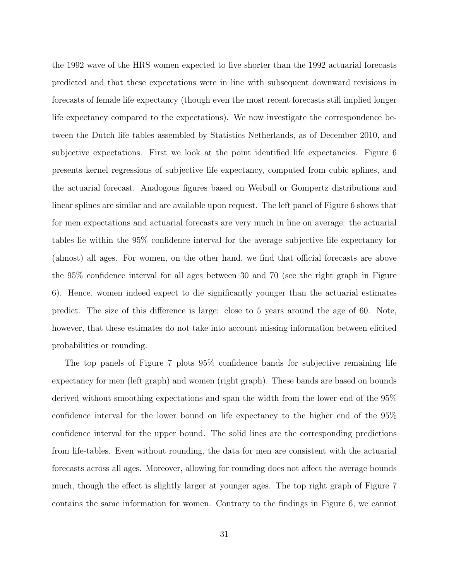the 1992 wave of the HRS women expected to live shorter than the 1992 actuarial forecasts predicted and that these expectations were in line with subsequent downward revisions in forecasts of female life expectancy (though even the most recent forecasts still implied longer life expectancy compared to the expectations). We now investigate the correspondence between the Dutch life tables assembled by Statistics Netherlands, as of December 2010, and subjective expectations. First we look at the point identified life expectancies. Figure 6 presents kernel regressions of subjective life expectancy, computed from cubic splines, and the actuarial forecast. Analogous figures based on Weibull or Gompertz distributions and linear splines are similar and are available upon request. The left panel of Figure 6 shows that for men expectations and actuarial forecasts are very much in line on average: the actuarial tables lie within the 95% confidence interval for the average subjective life expectancy for (almost) all ages. For women, on the other hand, we find that official forecasts are above the 95% confidence interval for all ages between 30 and 70 (see the right graph in Figure 6). Hence, women indeed expect to die significantly younger than the actuarial estimates predict. The size of this difference is large: close to 5 years around the age of 60. Note, however, that these estimates do not take into account missing information between elicited probabilities or rounding.

The top panels of Figure 7 plots 95% confidence bands for subjective remaining life expectancy for men (left graph) and women (right graph). These bands are based on bounds derived without smoothing expectations and span the width from the lower end of the 95% confidence interval for the lower bound on life expectancy to the higher end of the 95% confidence interval for the upper bound. The solid lines are the corresponding predictions from life-tables. Even without rounding, the data for men are consistent with the actuarial forecasts across all ages. Moreover, allowing for rounding does not affect the average bounds much, though the effect is slightly larger at younger ages. The top right graph of Figure 7 contains the same information for women. Contrary to the findings in Figure 6, we cannot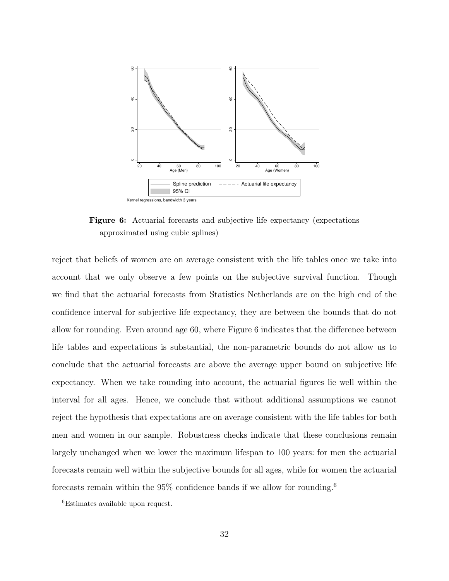

Figure 6: Actuarial forecasts and subjective life expectancy (expectations approximated using cubic splines)

reject that beliefs of women are on average consistent with the life tables once we take into account that we only observe a few points on the subjective survival function. Though we find that the actuarial forecasts from Statistics Netherlands are on the high end of the confidence interval for subjective life expectancy, they are between the bounds that do not allow for rounding. Even around age 60, where Figure 6 indicates that the difference between life tables and expectations is substantial, the non-parametric bounds do not allow us to conclude that the actuarial forecasts are above the average upper bound on subjective life expectancy. When we take rounding into account, the actuarial figures lie well within the interval for all ages. Hence, we conclude that without additional assumptions we cannot reject the hypothesis that expectations are on average consistent with the life tables for both men and women in our sample. Robustness checks indicate that these conclusions remain largely unchanged when we lower the maximum lifespan to 100 years: for men the actuarial forecasts remain well within the subjective bounds for all ages, while for women the actuarial forecasts remain within the  $95\%$  confidence bands if we allow for rounding.<sup>6</sup>

<sup>6</sup>Estimates available upon request.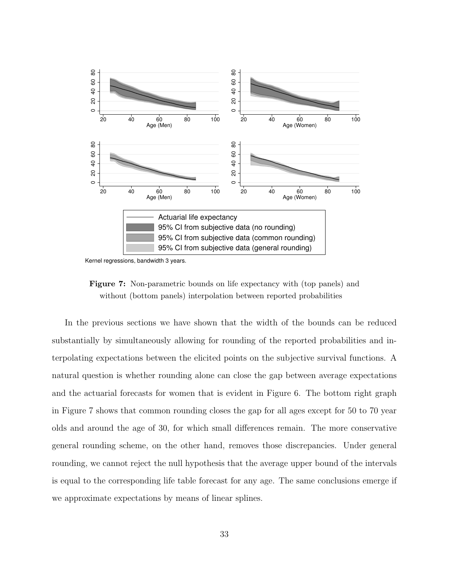

Kernel regressions, bandwidth 3 years.

Figure 7: Non-parametric bounds on life expectancy with (top panels) and without (bottom panels) interpolation between reported probabilities

In the previous sections we have shown that the width of the bounds can be reduced substantially by simultaneously allowing for rounding of the reported probabilities and interpolating expectations between the elicited points on the subjective survival functions. A natural question is whether rounding alone can close the gap between average expectations and the actuarial forecasts for women that is evident in Figure 6. The bottom right graph in Figure 7 shows that common rounding closes the gap for all ages except for 50 to 70 year olds and around the age of 30, for which small differences remain. The more conservative general rounding scheme, on the other hand, removes those discrepancies. Under general rounding, we cannot reject the null hypothesis that the average upper bound of the intervals is equal to the corresponding life table forecast for any age. The same conclusions emerge if we approximate expectations by means of linear splines.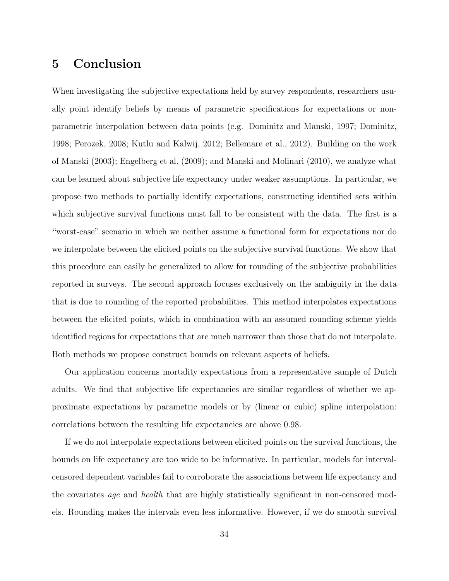## 5 Conclusion

When investigating the subjective expectations held by survey respondents, researchers usually point identify beliefs by means of parametric specifications for expectations or nonparametric interpolation between data points (e.g. Dominitz and Manski, 1997; Dominitz, 1998; Perozek, 2008; Kutlu and Kalwij, 2012; Bellemare et al., 2012). Building on the work of Manski (2003); Engelberg et al. (2009); and Manski and Molinari (2010), we analyze what can be learned about subjective life expectancy under weaker assumptions. In particular, we propose two methods to partially identify expectations, constructing identified sets within which subjective survival functions must fall to be consistent with the data. The first is a "worst-case" scenario in which we neither assume a functional form for expectations nor do we interpolate between the elicited points on the subjective survival functions. We show that this procedure can easily be generalized to allow for rounding of the subjective probabilities reported in surveys. The second approach focuses exclusively on the ambiguity in the data that is due to rounding of the reported probabilities. This method interpolates expectations between the elicited points, which in combination with an assumed rounding scheme yields identified regions for expectations that are much narrower than those that do not interpolate. Both methods we propose construct bounds on relevant aspects of beliefs.

Our application concerns mortality expectations from a representative sample of Dutch adults. We find that subjective life expectancies are similar regardless of whether we approximate expectations by parametric models or by (linear or cubic) spline interpolation: correlations between the resulting life expectancies are above 0.98.

If we do not interpolate expectations between elicited points on the survival functions, the bounds on life expectancy are too wide to be informative. In particular, models for intervalcensored dependent variables fail to corroborate the associations between life expectancy and the covariates *age* and *health* that are highly statistically significant in non-censored models. Rounding makes the intervals even less informative. However, if we do smooth survival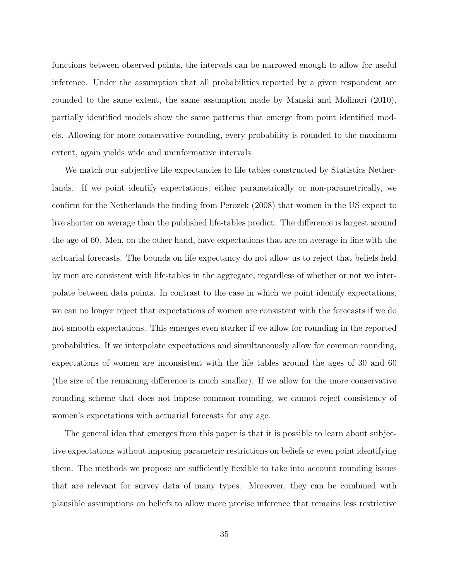functions between observed points, the intervals can be narrowed enough to allow for useful inference. Under the assumption that all probabilities reported by a given respondent are rounded to the same extent, the same assumption made by Manski and Molinari (2010), partially identified models show the same patterns that emerge from point identified models. Allowing for more conservative rounding, every probability is rounded to the maximum extent, again yields wide and uninformative intervals.

We match our subjective life expectancies to life tables constructed by Statistics Netherlands. If we point identify expectations, either parametrically or non-parametrically, we confirm for the Netherlands the finding from Perozek (2008) that women in the US expect to live shorter on average than the published life-tables predict. The difference is largest around the age of 60. Men, on the other hand, have expectations that are on average in line with the actuarial forecasts. The bounds on life expectancy do not allow us to reject that beliefs held by men are consistent with life-tables in the aggregate, regardless of whether or not we interpolate between data points. In contrast to the case in which we point identify expectations, we can no longer reject that expectations of women are consistent with the forecasts if we do not smooth expectations. This emerges even starker if we allow for rounding in the reported probabilities. If we interpolate expectations and simultaneously allow for common rounding, expectations of women are inconsistent with the life tables around the ages of 30 and 60 (the size of the remaining difference is much smaller). If we allow for the more conservative rounding scheme that does not impose common rounding, we cannot reject consistency of women's expectations with actuarial forecasts for any age.

The general idea that emerges from this paper is that it is possible to learn about subjective expectations without imposing parametric restrictions on beliefs or even point identifying them. The methods we propose are sufficiently flexible to take into account rounding issues that are relevant for survey data of many types. Moreover, they can be combined with plausible assumptions on beliefs to allow more precise inference that remains less restrictive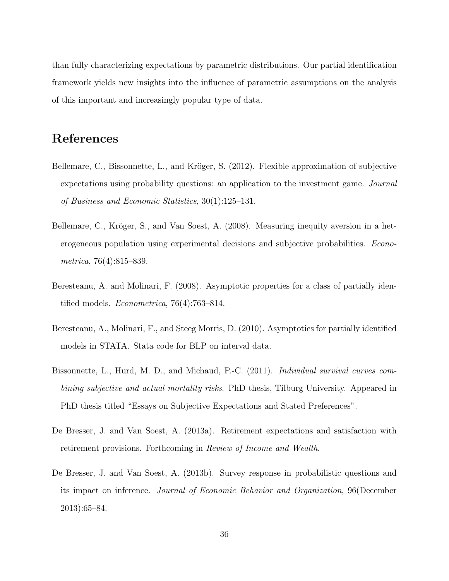than fully characterizing expectations by parametric distributions. Our partial identification framework yields new insights into the influence of parametric assumptions on the analysis of this important and increasingly popular type of data.

## References

- Bellemare, C., Bissonnette, L., and Kröger, S. (2012). Flexible approximation of subjective expectations using probability questions: an application to the investment game. Journal of Business and Economic Statistics, 30(1):125–131.
- Bellemare, C., Kröger, S., and Van Soest, A. (2008). Measuring inequity aversion in a heterogeneous population using experimental decisions and subjective probabilities. Econometrica, 76(4):815–839.
- Beresteanu, A. and Molinari, F. (2008). Asymptotic properties for a class of partially identified models. Econometrica, 76(4):763–814.
- Beresteanu, A., Molinari, F., and Steeg Morris, D. (2010). Asymptotics for partially identified models in STATA. Stata code for BLP on interval data.
- Bissonnette, L., Hurd, M. D., and Michaud, P.-C. (2011). Individual survival curves combining subjective and actual mortality risks. PhD thesis, Tilburg University. Appeared in PhD thesis titled "Essays on Subjective Expectations and Stated Preferences".
- De Bresser, J. and Van Soest, A. (2013a). Retirement expectations and satisfaction with retirement provisions. Forthcoming in Review of Income and Wealth.
- De Bresser, J. and Van Soest, A. (2013b). Survey response in probabilistic questions and its impact on inference. Journal of Economic Behavior and Organization, 96(December 2013):65–84.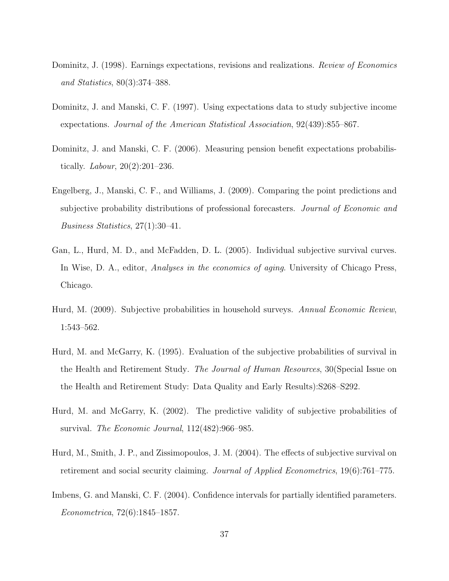- Dominitz, J. (1998). Earnings expectations, revisions and realizations. *Review of Economics* and Statistics, 80(3):374–388.
- Dominitz, J. and Manski, C. F. (1997). Using expectations data to study subjective income expectations. Journal of the American Statistical Association, 92(439):855–867.
- Dominitz, J. and Manski, C. F. (2006). Measuring pension benefit expectations probabilistically. *Labour*,  $20(2):201-236$ .
- Engelberg, J., Manski, C. F., and Williams, J. (2009). Comparing the point predictions and subjective probability distributions of professional forecasters. Journal of Economic and Business Statistics, 27(1):30–41.
- Gan, L., Hurd, M. D., and McFadden, D. L. (2005). Individual subjective survival curves. In Wise, D. A., editor, *Analyses in the economics of aging*. University of Chicago Press, Chicago.
- Hurd, M. (2009). Subjective probabilities in household surveys. Annual Economic Review, 1:543–562.
- Hurd, M. and McGarry, K. (1995). Evaluation of the subjective probabilities of survival in the Health and Retirement Study. The Journal of Human Resources, 30(Special Issue on the Health and Retirement Study: Data Quality and Early Results):S268–S292.
- Hurd, M. and McGarry, K. (2002). The predictive validity of subjective probabilities of survival. The Economic Journal, 112(482):966–985.
- Hurd, M., Smith, J. P., and Zissimopoulos, J. M. (2004). The effects of subjective survival on retirement and social security claiming. Journal of Applied Econometrics, 19(6):761–775.
- Imbens, G. and Manski, C. F. (2004). Confidence intervals for partially identified parameters. Econometrica, 72(6):1845–1857.